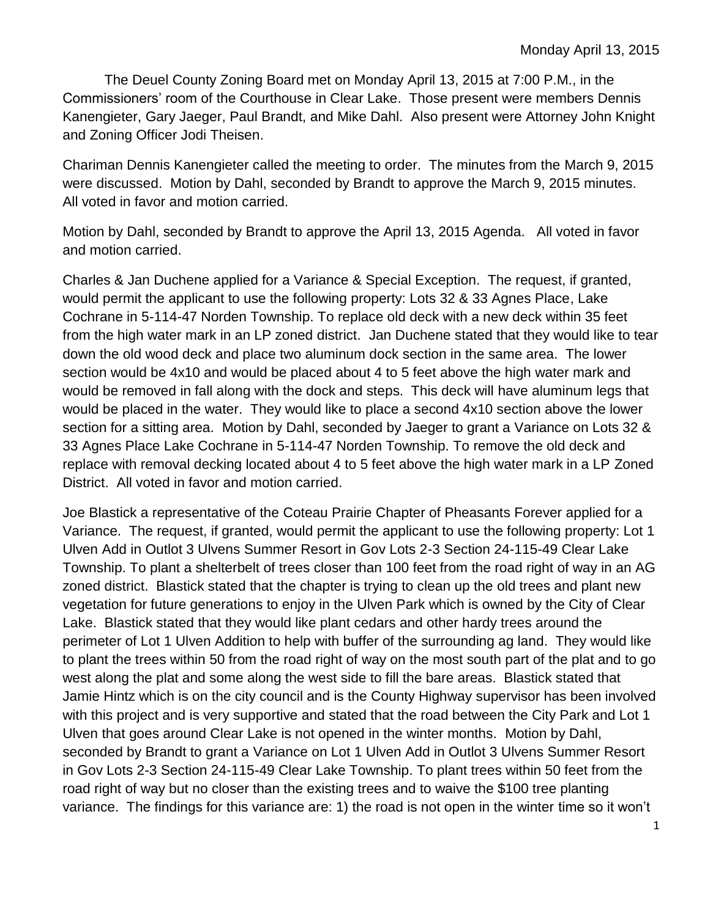The Deuel County Zoning Board met on Monday April 13, 2015 at 7:00 P.M., in the Commissioners' room of the Courthouse in Clear Lake. Those present were members Dennis Kanengieter, Gary Jaeger, Paul Brandt, and Mike Dahl. Also present were Attorney John Knight and Zoning Officer Jodi Theisen.

Chariman Dennis Kanengieter called the meeting to order. The minutes from the March 9, 2015 were discussed. Motion by Dahl, seconded by Brandt to approve the March 9, 2015 minutes. All voted in favor and motion carried.

Motion by Dahl, seconded by Brandt to approve the April 13, 2015 Agenda. All voted in favor and motion carried.

Charles & Jan Duchene applied for a Variance & Special Exception. The request, if granted, would permit the applicant to use the following property: Lots 32 & 33 Agnes Place, Lake Cochrane in 5-114-47 Norden Township. To replace old deck with a new deck within 35 feet from the high water mark in an LP zoned district. Jan Duchene stated that they would like to tear down the old wood deck and place two aluminum dock section in the same area. The lower section would be 4x10 and would be placed about 4 to 5 feet above the high water mark and would be removed in fall along with the dock and steps. This deck will have aluminum legs that would be placed in the water. They would like to place a second 4x10 section above the lower section for a sitting area. Motion by Dahl, seconded by Jaeger to grant a Variance on Lots 32 & 33 Agnes Place Lake Cochrane in 5-114-47 Norden Township. To remove the old deck and replace with removal decking located about 4 to 5 feet above the high water mark in a LP Zoned District. All voted in favor and motion carried.

Joe Blastick a representative of the Coteau Prairie Chapter of Pheasants Forever applied for a Variance. The request, if granted, would permit the applicant to use the following property: Lot 1 Ulven Add in Outlot 3 Ulvens Summer Resort in Gov Lots 2-3 Section 24-115-49 Clear Lake Township. To plant a shelterbelt of trees closer than 100 feet from the road right of way in an AG zoned district. Blastick stated that the chapter is trying to clean up the old trees and plant new vegetation for future generations to enjoy in the Ulven Park which is owned by the City of Clear Lake. Blastick stated that they would like plant cedars and other hardy trees around the perimeter of Lot 1 Ulven Addition to help with buffer of the surrounding ag land. They would like to plant the trees within 50 from the road right of way on the most south part of the plat and to go west along the plat and some along the west side to fill the bare areas. Blastick stated that Jamie Hintz which is on the city council and is the County Highway supervisor has been involved with this project and is very supportive and stated that the road between the City Park and Lot 1 Ulven that goes around Clear Lake is not opened in the winter months. Motion by Dahl, seconded by Brandt to grant a Variance on Lot 1 Ulven Add in Outlot 3 Ulvens Summer Resort in Gov Lots 2-3 Section 24-115-49 Clear Lake Township. To plant trees within 50 feet from the road right of way but no closer than the existing trees and to waive the \$100 tree planting variance. The findings for this variance are: 1) the road is not open in the winter time so it won't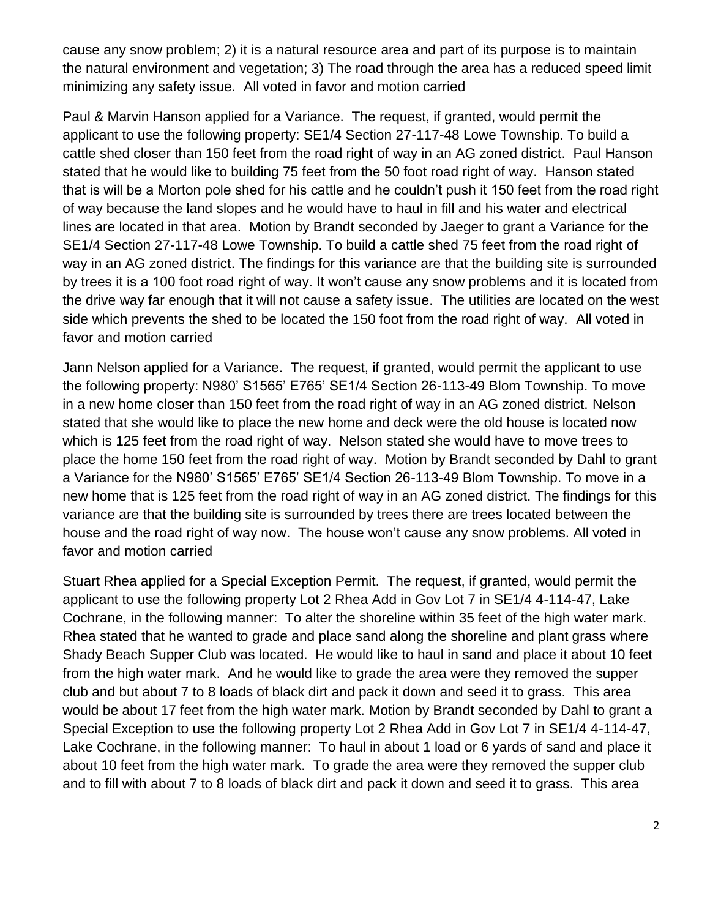cause any snow problem; 2) it is a natural resource area and part of its purpose is to maintain the natural environment and vegetation; 3) The road through the area has a reduced speed limit minimizing any safety issue. All voted in favor and motion carried

Paul & Marvin Hanson applied for a Variance. The request, if granted, would permit the applicant to use the following property: SE1/4 Section 27-117-48 Lowe Township. To build a cattle shed closer than 150 feet from the road right of way in an AG zoned district. Paul Hanson stated that he would like to building 75 feet from the 50 foot road right of way. Hanson stated that is will be a Morton pole shed for his cattle and he couldn't push it 150 feet from the road right of way because the land slopes and he would have to haul in fill and his water and electrical lines are located in that area. Motion by Brandt seconded by Jaeger to grant a Variance for the SE1/4 Section 27-117-48 Lowe Township. To build a cattle shed 75 feet from the road right of way in an AG zoned district. The findings for this variance are that the building site is surrounded by trees it is a 100 foot road right of way. It won't cause any snow problems and it is located from the drive way far enough that it will not cause a safety issue. The utilities are located on the west side which prevents the shed to be located the 150 foot from the road right of way. All voted in favor and motion carried

Jann Nelson applied for a Variance. The request, if granted, would permit the applicant to use the following property: N980' S1565' E765' SE1/4 Section 26-113-49 Blom Township. To move in a new home closer than 150 feet from the road right of way in an AG zoned district. Nelson stated that she would like to place the new home and deck were the old house is located now which is 125 feet from the road right of way. Nelson stated she would have to move trees to place the home 150 feet from the road right of way. Motion by Brandt seconded by Dahl to grant a Variance for the N980' S1565' E765' SE1/4 Section 26-113-49 Blom Township. To move in a new home that is 125 feet from the road right of way in an AG zoned district. The findings for this variance are that the building site is surrounded by trees there are trees located between the house and the road right of way now. The house won't cause any snow problems. All voted in favor and motion carried

Stuart Rhea applied for a Special Exception Permit. The request, if granted, would permit the applicant to use the following property Lot 2 Rhea Add in Gov Lot 7 in SE1/4 4-114-47, Lake Cochrane, in the following manner: To alter the shoreline within 35 feet of the high water mark. Rhea stated that he wanted to grade and place sand along the shoreline and plant grass where Shady Beach Supper Club was located. He would like to haul in sand and place it about 10 feet from the high water mark. And he would like to grade the area were they removed the supper club and but about 7 to 8 loads of black dirt and pack it down and seed it to grass. This area would be about 17 feet from the high water mark. Motion by Brandt seconded by Dahl to grant a Special Exception to use the following property Lot 2 Rhea Add in Gov Lot 7 in SE1/4 4-114-47, Lake Cochrane, in the following manner: To haul in about 1 load or 6 yards of sand and place it about 10 feet from the high water mark. To grade the area were they removed the supper club and to fill with about 7 to 8 loads of black dirt and pack it down and seed it to grass. This area